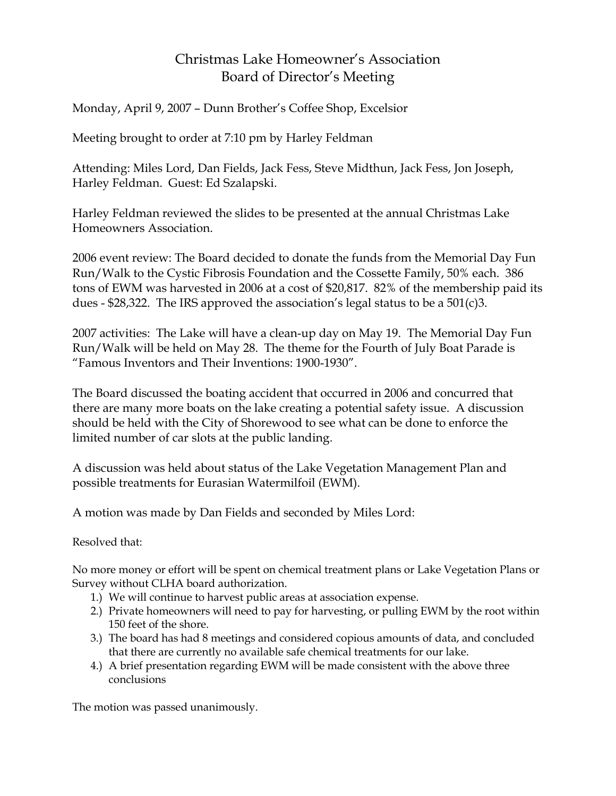## Christmas Lake Homeowner's Association Board of Director's Meeting

Monday, April 9, 2007 – Dunn Brother's Coffee Shop, Excelsior

Meeting brought to order at 7:10 pm by Harley Feldman

Attending: Miles Lord, Dan Fields, Jack Fess, Steve Midthun, Jack Fess, Jon Joseph, Harley Feldman. Guest: Ed Szalapski.

Harley Feldman reviewed the slides to be presented at the annual Christmas Lake Homeowners Association.

2006 event review: The Board decided to donate the funds from the Memorial Day Fun Run/Walk to the Cystic Fibrosis Foundation and the Cossette Family, 50% each. 386 tons of EWM was harvested in 2006 at a cost of \$20,817. 82% of the membership paid its dues - \$28,322. The IRS approved the association's legal status to be a 501(c)3.

2007 activities: The Lake will have a clean-up day on May 19. The Memorial Day Fun Run/Walk will be held on May 28. The theme for the Fourth of July Boat Parade is "Famous Inventors and Their Inventions: 1900-1930".

The Board discussed the boating accident that occurred in 2006 and concurred that there are many more boats on the lake creating a potential safety issue. A discussion should be held with the City of Shorewood to see what can be done to enforce the limited number of car slots at the public landing.

A discussion was held about status of the Lake Vegetation Management Plan and possible treatments for Eurasian Watermilfoil (EWM).

A motion was made by Dan Fields and seconded by Miles Lord:

## Resolved that:

No more money or effort will be spent on chemical treatment plans or Lake Vegetation Plans or Survey without CLHA board authorization.

- 1.) We will continue to harvest public areas at association expense.
- 2.) Private homeowners will need to pay for harvesting, or pulling EWM by the root within 150 feet of the shore.
- 3.) The board has had 8 meetings and considered copious amounts of data, and concluded that there are currently no available safe chemical treatments for our lake.
- 4.) A brief presentation regarding EWM will be made consistent with the above three conclusions

The motion was passed unanimously.